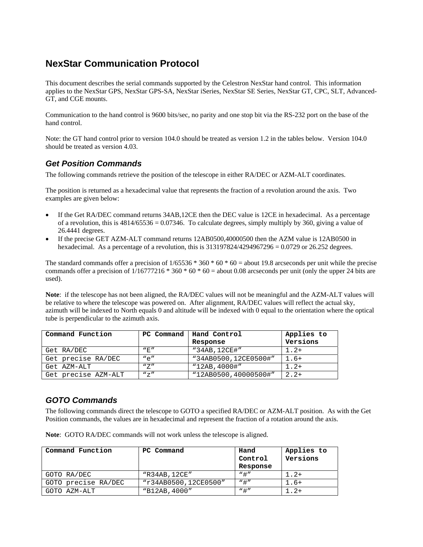# **NexStar Communication Protocol**

This document describes the serial commands supported by the Celestron NexStar hand control. This information applies to the NexStar GPS, NexStar GPS-SA, NexStar iSeries, NexStar SE Series, NexStar GT, CPC, SLT, Advanced-GT, and CGE mounts.

Communication to the hand control is 9600 bits/sec, no parity and one stop bit via the RS-232 port on the base of the hand control.

Note: the GT hand control prior to version 104.0 should be treated as version 1.2 in the tables below. Version 104.0 should be treated as version 4.03.

## *Get Position Commands*

The following commands retrieve the position of the telescope in either RA/DEC or AZM-ALT coordinates.

The position is returned as a hexadecimal value that represents the fraction of a revolution around the axis. Two examples are given below:

- If the Get RA/DEC command returns 34AB,12CE then the DEC value is 12CE in hexadecimal. As a percentage of a revolution, this is  $4814/65536 = 0.07346$ . To calculate degrees, simply multiply by 360, giving a value of 26.4441 degrees.
- If the precise GET AZM-ALT command returns 12AB0500,40000500 then the AZM value is 12AB0500 in hexadecimal. As a percentage of a revolution, this is  $313197824/4294967296 = 0.0729$  or  $26.252$  degrees.

The standard commands offer a precision of  $1/65536 * 360 * 60 * 60 =$  about 19.8 arcseconds per unit while the precise commands offer a precision of  $1/16777216 * 360 * 60 * 60 =$  about 0.08 arcseconds per unit (only the upper 24 bits are used).

**Note**: if the telescope has not been aligned, the RA/DEC values will not be meaningful and the AZM-ALT values will be relative to where the telescope was powered on. After alignment, RA/DEC values will reflect the actual sky, azimuth will be indexed to North equals 0 and altitude will be indexed with 0 equal to the orientation where the optical tube is perpendicular to the azimuth axis.

| Command Function    | PC Command | Hand Control         | Applies to |
|---------------------|------------|----------------------|------------|
|                     |            | Response             | Versions   |
| Get RA/DEC          | "F"        | "34AB, 12CE#"        | $1.2+$     |
| Get precise RA/DEC  | $" \rho"$  | "34AB0500,12CE0500#" | $1.6+$     |
| Get AZM-ALT         | "Z"        | "12AB, 4000#"        | $1.2+$     |
| Get precise AZM-ALT | $N_{Z}$    | "12AB0500,40000500#" | $2.2+$     |

## *GOTO Commands*

The following commands direct the telescope to GOTO a specified RA/DEC or AZM-ALT position. As with the Get Position commands, the values are in hexadecimal and represent the fraction of a rotation around the axis.

|  |  |  | Note: GOTO RA/DEC commands will not work unless the telescope is aligned. |
|--|--|--|---------------------------------------------------------------------------|
|  |  |  |                                                                           |

| Command Function    | PC Command           | Hand<br>Control<br>Response | Applies to<br>Versions |
|---------------------|----------------------|-----------------------------|------------------------|
| GOTO RA/DEC         | "R34AB, 12CE"        | "#"                         | $1.2+$                 |
| GOTO precise RA/DEC | "r34AB0500,12CE0500" | $"$ #"                      | 1.6+                   |
| GOTO AZM-ALT        | "B12AB, 4000"        | $"$ #"                      | $\lfloor$ . 2+         |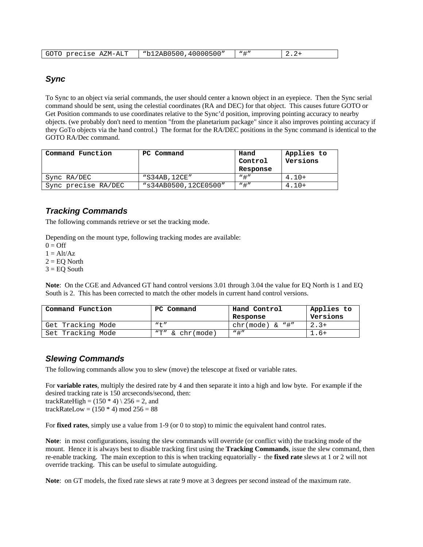| "b12AB0500,40000500"<br>GOTO precise<br>$\sqrt{1 + n}$<br>AZM-ALT<br><u>.</u> |
|-------------------------------------------------------------------------------|
|-------------------------------------------------------------------------------|

### *Sync*

To Sync to an object via serial commands, the user should center a known object in an eyepiece. Then the Sync serial command should be sent, using the celestial coordinates (RA and DEC) for that object. This causes future GOTO or Get Position commands to use coordinates relative to the Sync'd position, improving pointing accuracy to nearby objects. (we probably don't need to mention "from the planetarium package" since it also improves pointing accuracy if they GoTo objects via the hand control.) The format for the RA/DEC positions in the Sync command is identical to the GOTO RA/Dec command.

| Command Function    | PC Command           | Hand<br>Control<br>Response | Applies to<br>Versions |
|---------------------|----------------------|-----------------------------|------------------------|
| Sync RA/DEC         | "S34AB, 12CE"        | $"$ $\pm"$                  | $4.10+$                |
| Sync precise RA/DEC | "s34AB0500,12CE0500" | "#"                         | $4.10+$                |

## *Tracking Commands*

The following commands retrieve or set the tracking mode.

Depending on the mount type, following tracking modes are available:

 $0 = \text{Off}$ 

 $1 = Alt/Az$ 

 $2 = EQ$  North

 $3 = EQ$  South

**Note**: On the CGE and Advanced GT hand control versions 3.01 through 3.04 the value for EQ North is 1 and EQ South is 2. This has been corrected to match the other models in current hand control versions.

| Command Function  | PC Command          | Hand Control<br>Response | Applies to<br>Versions |
|-------------------|---------------------|--------------------------|------------------------|
| Get Tracking Mode | $W + H$             | $chr(mode) & w$ "#"      | $2.3+$                 |
| Set Tracking Mode | " $T''$ & chr(mode) | $"$ #"                   | $\overline{1}$ .6+     |

#### *Slewing Commands*

The following commands allow you to slew (move) the telescope at fixed or variable rates.

For **variable rates**, multiply the desired rate by 4 and then separate it into a high and low byte. For example if the desired tracking rate is 150 arcseconds/second, then:

trackRateHigh =  $(150 * 4)$  \  $256 = 2$ , and trackRateLow =  $(150 * 4)$  mod  $256 = 88$ 

For **fixed rates**, simply use a value from 1-9 (or 0 to stop) to mimic the equivalent hand control rates.

**Note**: in most configurations, issuing the slew commands will override (or conflict with) the tracking mode of the mount. Hence it is always best to disable tracking first using the **Tracking Commands**, issue the slew command, then re-enable tracking. The main exception to this is when tracking equatorially - the **fixed rate** slews at 1 or 2 will not override tracking. This can be useful to simulate autoguiding.

**Note**: on GT models, the fixed rate slews at rate 9 move at 3 degrees per second instead of the maximum rate.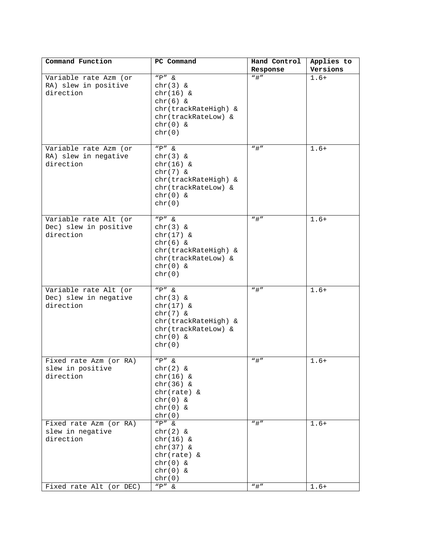| Command Function                           | PC Command           | Hand Control            | Applies to |
|--------------------------------------------|----------------------|-------------------------|------------|
|                                            |                      | Response                | Versions   |
| Variable rate Azm (or                      | $"P"$ &              | $\sqrt[n]{\frac{1}{n}}$ | $1.6+$     |
| RA) slew in positive                       | $chr(3)$ &           |                         |            |
| direction                                  | $chr(16)$ &          |                         |            |
|                                            | $chr(6)$ &           |                         |            |
|                                            | chr(trackRateHigh) & |                         |            |
|                                            | chr(trackRateLow) &  |                         |            |
|                                            | chr(0) &             |                         |            |
|                                            | chr(0)               |                         |            |
|                                            |                      |                         |            |
| Variable rate Azm (or                      | $"P" \&$             | $"$ #"                  | $1.6+$     |
| RA) slew in negative                       | chr(3) &             |                         |            |
| direction                                  | $chr(16)$ &          |                         |            |
|                                            |                      |                         |            |
|                                            | $chr(7)$ &           |                         |            |
|                                            | chr(trackRateHigh) & |                         |            |
|                                            | chr(trackRateLow) &  |                         |            |
|                                            | $chr(0)$ &           |                         |            |
|                                            | chr(0)               |                         |            |
|                                            | $"P"$ &              | $"$ #"                  | $1.6+$     |
| Variable rate Alt (or                      | $chr(3)$ &           |                         |            |
| Dec) slew in positive                      |                      |                         |            |
| direction                                  | $chr(17)$ &          |                         |            |
|                                            | $chr(6)$ &           |                         |            |
|                                            | chr(trackRateHigh) & |                         |            |
|                                            | chr(trackRateLow) &  |                         |            |
|                                            | $chr(0)$ &           |                         |            |
|                                            | chr(0)               |                         |            |
| Variable rate Alt (or                      | $"P"$ &              | $"$ #"                  | $1.6+$     |
| Dec) slew in negative                      |                      |                         |            |
| direction                                  | chr(3) &             |                         |            |
|                                            | $chr(17)$ &          |                         |            |
|                                            | $chr(7)$ &           |                         |            |
|                                            | chr(trackRateHigh) & |                         |            |
|                                            | chr(trackRateLow) &  |                         |            |
|                                            | $chr(0)$ &           |                         |            |
|                                            | chr(0)               |                         |            |
|                                            | $\overline{P''}$ &   | $"$ #"                  |            |
| Fixed rate Azm (or RA)<br>slew in positive |                      |                         | $1.6+$     |
| direction                                  | chr(2) &             |                         |            |
|                                            | $chr(16)$ &          |                         |            |
|                                            | $chr(36)$ &          |                         |            |
|                                            | $chr(rate)$ &        |                         |            |
|                                            | $chr(0)$ &           |                         |            |
|                                            | $chr(0)$ &           |                         |            |
|                                            | chr(0)<br>$"P" &$ &  | $\sqrt[n]{\frac{1}{n}}$ |            |
| Fixed rate Azm (or RA)                     | $chr(2)$ &           |                         | $1.6+$     |
| slew in negative<br>direction              |                      |                         |            |
|                                            | $chr(16)$ &          |                         |            |
|                                            | $chr(37)$ &          |                         |            |
|                                            | $chr(rate)$ &        |                         |            |
|                                            | $chr(0)$ &           |                         |            |
|                                            | $chr(0)$ &           |                         |            |
|                                            | chr(0)               |                         |            |
| Fixed rate Alt (or DEC)                    | $"P"$ &              | $"$ #"                  | $1.6+$     |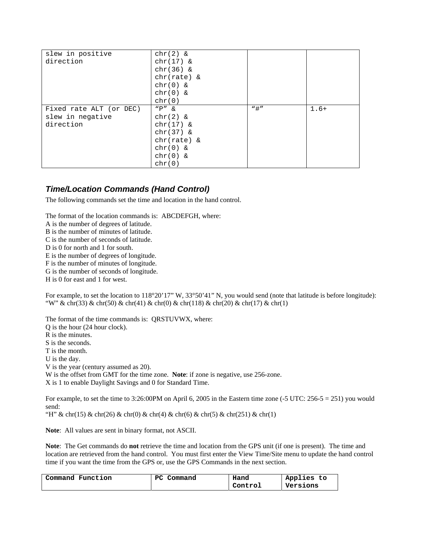| slew in positive        | $chr(2)$ &    |        |        |
|-------------------------|---------------|--------|--------|
| direction               | $chr(17)$ &   |        |        |
|                         | $chr(36)$ &   |        |        |
|                         | $chr(rate)$ & |        |        |
|                         | $chr(0)$ &    |        |        |
|                         | $chr(0)$ &    |        |        |
|                         | chr(0)        |        |        |
| Fixed rate ALT (or DEC) | $"P"$ &       | $"$ #" | $1.6+$ |
| slew in negative        | $chr(2)$ &    |        |        |
| direction               | $chr(17)$ &   |        |        |
|                         | $chr(37)$ &   |        |        |
|                         | $chr(rate)$ & |        |        |
|                         | $chr(0)$ &    |        |        |
|                         | $chr(0)$ &    |        |        |
|                         | chr(0)        |        |        |

### *Time/Location Commands (Hand Control)*

The following commands set the time and location in the hand control.

The format of the location commands is: ABCDEFGH, where:

A is the number of degrees of latitude.

B is the number of minutes of latitude.

C is the number of seconds of latitude.

D is 0 for north and 1 for south.

E is the number of degrees of longitude.

F is the number of minutes of longitude.

G is the number of seconds of longitude.

H is 0 for east and 1 for west.

For example, to set the location to  $118^{\circ}20'17''$  W,  $33^{\circ}50'41''$  N, you would send (note that latitude is before longitude): "W" & chr(33) & chr(50) & chr(41) & chr(0) & chr(118) & chr(20) & chr(17) & chr(1)

The format of the time commands is: QRSTUVWX, where:

Q is the hour (24 hour clock).

R is the minutes.

S is the seconds.

T is the month.

U is the day.

V is the year (century assumed as 20).

W is the offset from GMT for the time zone. **Note**: if zone is negative, use 256-zone.

X is 1 to enable Daylight Savings and 0 for Standard Time.

For example, to set the time to 3:26:00PM on April 6, 2005 in the Eastern time zone  $(-5 \text{ UTC: } 256-5 = 251)$  you would send:

"H" & chr(15) & chr(26) & chr(0) & chr(4) & chr(6) & chr(5) & chr(251) & chr(1)

**Note**: All values are sent in binary format, not ASCII.

**Note**: The Get commands do **not** retrieve the time and location from the GPS unit (if one is present). The time and location are retrieved from the hand control. You must first enter the View Time/Site menu to update the hand control time if you want the time from the GPS or, use the GPS Commands in the next section.

| Command Function | PС<br>Command | Hand    | Applies to |
|------------------|---------------|---------|------------|
|                  |               | Control | Versions   |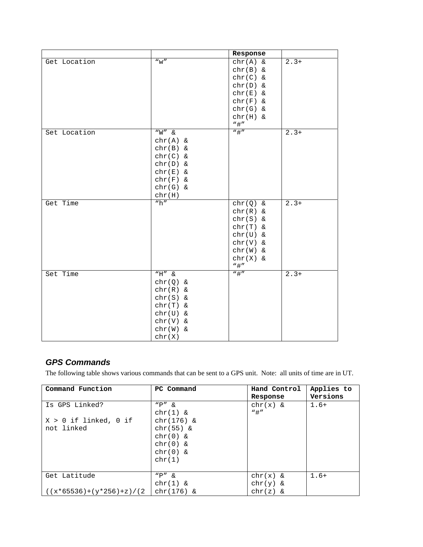|              |                    | Response     |                          |
|--------------|--------------------|--------------|--------------------------|
| Get Location | ``w"               | chr(A) &     | $2.3+$                   |
|              |                    | $chr(B)$ &   |                          |
|              |                    | $chr(C)$ &   |                          |
|              |                    | chr(D) &     |                          |
|              |                    | $chr(E)$ &   |                          |
|              |                    | $chr(F)$ &   |                          |
|              |                    | $chr(G)$ &   |                          |
|              |                    | $chr(H)$ &   |                          |
|              |                    | $"$ #"       |                          |
| Set Location | $\overline{W''}$ & | $"$ #"       | $2.3+$                   |
|              | chr(A) &           |              |                          |
|              | $chr(B)$ &         |              |                          |
|              | $chr(C)$ &         |              |                          |
|              | chr(D) &           |              |                          |
|              | $chr(E)$ &         |              |                          |
|              | $chr(F)$ &         |              |                          |
|              | $chr(G)$ &         |              |                          |
|              | chr(H)             |              |                          |
| Get Time     | "h"                | chr(Q) &     | $\overline{2} \cdot 3 +$ |
|              |                    | $chr(R)$ &   |                          |
|              |                    | $chr(S)$ &   |                          |
|              |                    | $chr(T)$ &   |                          |
|              |                    | $chr(U)$ &   |                          |
|              |                    | chr(V) &     |                          |
|              |                    | $chr(W)$ &   |                          |
|              |                    | chr(X) &     |                          |
|              |                    | $"$ #"       |                          |
| Set Time     | $"H"$ &            | $\sqrt{n}$ # | $2.3+$                   |
|              | $chr(Q)$ &         |              |                          |
|              | $chr(R)$ &         |              |                          |
|              | $chr(S)$ &         |              |                          |
|              | $chr(T)$ &         |              |                          |
|              | $chr(U)$ &         |              |                          |
|              | chr(V) &           |              |                          |
|              | $chr(W)$ &         |              |                          |
|              | chr(X)             |              |                          |

## *GPS Commands*

The following table shows various commands that can be sent to a GPS unit. Note: all units of time are in UT.

| Command Function            | PC Command  | Hand Control | Applies to |
|-----------------------------|-------------|--------------|------------|
|                             |             | Response     | Versions   |
| Is GPS Linked?              | $"P"$ &     | $chr(x)$ &   | $1.6+$     |
|                             | $chr(1)$ &  | $"$ #"       |            |
| $X > 0$ if linked, 0 if     | chr(176) &  |              |            |
| not linked                  | $chr(55)$ & |              |            |
|                             | $chr(0)$ &  |              |            |
|                             | $chr(0)$ &  |              |            |
|                             | $chr(0)$ &  |              |            |
|                             | chr(1)      |              |            |
|                             |             |              |            |
| Get Latitude                | $"P" \&$    | chr(x) &     | $1.6+$     |
|                             | $chr(1)$ &  | $chr(y)$ &   |            |
| $((x*65536)+(y*256)+z)/(2)$ | chr(176) &  | $chr(z)$ &   |            |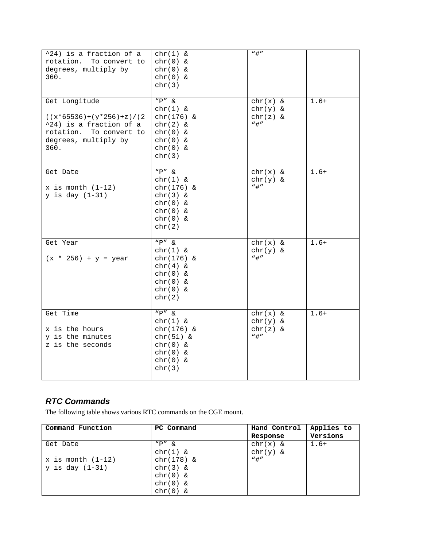| ^24) is a fraction of a<br>rotation. To convert to<br>degrees, multiply by<br>360.                                                 | $chr(1)$ &<br>chr(0) &<br>$chr(0)$ &<br>$chr(0)$ &<br>chr(3)                                                     | $"$ #"                                           |        |
|------------------------------------------------------------------------------------------------------------------------------------|------------------------------------------------------------------------------------------------------------------|--------------------------------------------------|--------|
| Get Longitude<br>$((x*65536)+(y*256)+z)/(2)$<br>^24) is a fraction of a<br>rotation. To convert to<br>degrees, multiply by<br>360. | $\overline{P''}$ &<br>$chr(1)$ &<br>chr(176) &<br>$chr(2)$ &<br>$chr(0)$ &<br>$chr(0)$ &<br>$chr(0)$ &<br>chr(3) | $chr(x)$ &<br>$chr(y)$ &<br>$chr(z)$ &<br>$"$ #" | $1.6+$ |
| Get Date<br>$x$ is month $(1-12)$<br>$y$ is day $(1-31)$                                                                           | $"P"$ &<br>$chr(1)$ &<br>chr(176) &<br>chr(3) &<br>chr(0) &<br>$chr(0)$ &<br>$chr(0)$ &<br>chr(2)                | $chr(x)$ &<br>$chr(y)$ &<br>$"$ #"               | $1.6+$ |
| Get Year<br>$(x * 256) + y = year$                                                                                                 | $"P"$ &<br>$chr(1)$ &<br>chr(176) &<br>$chr(4)$ &<br>$chr(0)$ &<br>$chr(0)$ &<br>$chr(0)$ &<br>chr(2)            | $chr(x)$ &<br>$chr(y)$ &<br>$"$ #"               | $1.6+$ |
| Get Time<br>x is the hours<br>y is the minutes<br>z is the seconds                                                                 | $"P"$ &<br>$chr(1)$ &<br>chr(176) &<br>$chr(51)$ &<br>$chr(0)$ &<br>$chr(0)$ &<br>$chr(0)$ &<br>chr(3)           | $chr(x)$ &<br>$chr(y)$ &<br>$chr(z)$ &<br>$"$ #" | $1.6+$ |

## *RTC Commands*

The following table shows various RTC commands on the CGE mount.

| Command Function      | PC Command | Hand Control | Applies to |
|-----------------------|------------|--------------|------------|
|                       |            | Response     | Versions   |
| Get Date              | "P" &      | $chr(x)$ &   | $1.6+$     |
|                       | $chr(1)$ & | $chr(y)$ &   |            |
| $x$ is month $(1-12)$ | chr(178) & | $"$ #"       |            |
| $y$ is day $(1-31)$   | $chr(3)$ & |              |            |
|                       | $chr(0)$ & |              |            |
|                       | $chr(0)$ & |              |            |
|                       | $chr(0)$ & |              |            |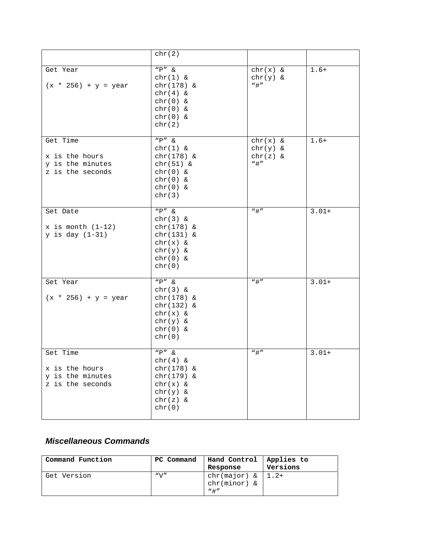|                                                                    | chr(2)                                                                                                             |                                                |         |
|--------------------------------------------------------------------|--------------------------------------------------------------------------------------------------------------------|------------------------------------------------|---------|
| Get Year<br>$(x * 256) + y = year$                                 | $"P"$ &<br>$chr(1)$ &<br>chr(178) &<br>$chr(4)$ &<br>$chr(0)$ &<br>$chr(0)$ &<br>$chr(0)$ &<br>chr(2)              | chr(x) &<br>$chr(y)$ &<br>$"$ #"               | $1.6+$  |
| Get Time<br>x is the hours<br>y is the minutes<br>z is the seconds | $"P"$ &<br>$chr(1)$ &<br>chr(178) &<br>$chr(51)$ &<br>$chr(0)$ &<br>$chr(0)$ &<br>chr(0) &<br>chr(3)               | chr(x) &<br>$chr(y)$ &<br>$chr(z)$ &<br>$"$ #" | $1.6+$  |
| Set Date<br>$x$ is month $(1-12)$<br>$y$ is day $(1-31)$           | "P" &<br>$chr(3)$ &<br>$chr(178)$ &<br>chr(131) &<br>$chr(x)$ &<br>$chr(y)$ &<br>$chr(0)$ &<br>chr(0)              | $"$ #"                                         | $3.01+$ |
| Set Year<br>$(x * 256) + y = year$                                 | $"P"$ &<br>$chr(3)$ &<br>chr(178) &<br>chr(132) &<br>chr(x) &<br>$chr(y)$ &<br>$chr(0)$ &<br>chr(0)                | $"$ #"                                         | $3.01+$ |
| Set Time<br>x is the hours<br>y is the minutes<br>z is the seconds | $\overline{N}P'' \&$<br>$chr(4)$ &<br>$chr(178)$ &<br>chr(179) &<br>chr(x) &<br>$chr(y)$ &<br>$chr(z)$ &<br>chr(0) | $"$ # $"$                                      | $3.01+$ |

## *Miscellaneous Commands*

| Command Function | PC Command   | Hand Control<br>Response                            | Applies to<br>Versions |
|------------------|--------------|-----------------------------------------------------|------------------------|
| Get Version      | $N \sqrt{v}$ | $chr(major) & 1.2+$<br>$chr(minor)$ &<br>$"$ $\pm"$ |                        |